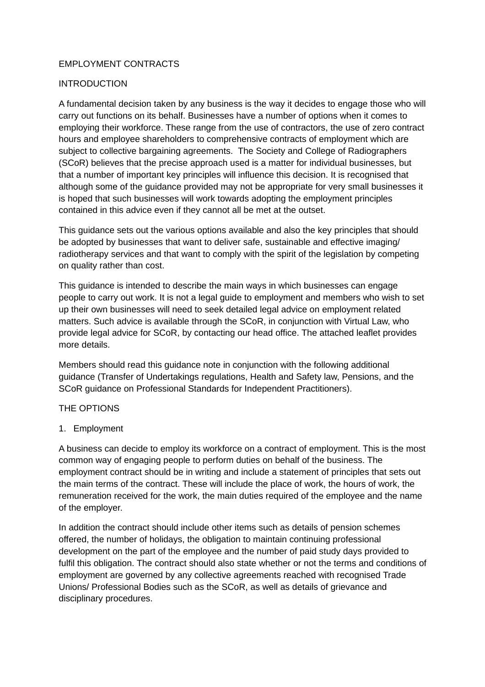## EMPLOYMENT CONTRACTS

### INTRODUCTION

A fundamental decision taken by any business is the way it decides to engage those who will carry out functions on its behalf. Businesses have a number of options when it comes to employing their workforce. These range from the use of contractors, the use of zero contract hours and employee shareholders to comprehensive contracts of employment which are subject to collective bargaining agreements. The Society and College of Radiographers (SCoR) believes that the precise approach used is a matter for individual businesses, but that a number of important key principles will influence this decision. It is recognised that although some of the guidance provided may not be appropriate for very small businesses it is hoped that such businesses will work towards adopting the employment principles contained in this advice even if they cannot all be met at the outset.

This guidance sets out the various options available and also the key principles that should be adopted by businesses that want to deliver safe, sustainable and effective imaging/ radiotherapy services and that want to comply with the spirit of the legislation by competing on quality rather than cost.

This guidance is intended to describe the main ways in which businesses can engage people to carry out work. It is not a legal guide to employment and members who wish to set up their own businesses will need to seek detailed legal advice on employment related matters. Such advice is available through the SCoR, in conjunction with Virtual Law, who provide legal advice for SCoR, by contacting our head office. The attached leaflet provides more details.

Members should read this guidance note in conjunction with the following additional guidance (Transfer of Undertakings regulations, Health and Safety law, Pensions, and the SCoR guidance on Professional Standards for Independent Practitioners).

#### THE OPTIONS

### 1. Employment

A business can decide to employ its workforce on a contract of employment. This is the most common way of engaging people to perform duties on behalf of the business. The employment contract should be in writing and include a statement of principles that sets out the main terms of the contract. These will include the place of work, the hours of work, the remuneration received for the work, the main duties required of the employee and the name of the employer.

In addition the contract should include other items such as details of pension schemes offered, the number of holidays, the obligation to maintain continuing professional development on the part of the employee and the number of paid study days provided to fulfil this obligation. The contract should also state whether or not the terms and conditions of employment are governed by any collective agreements reached with recognised Trade Unions/ Professional Bodies such as the SCoR, as well as details of grievance and disciplinary procedures.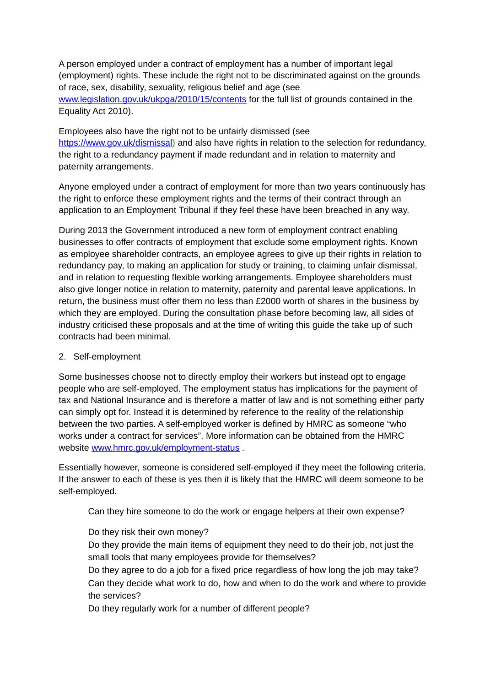A person employed under a contract of employment has a number of important legal (employment) rights. These include the right not to be discriminated against on the grounds of race, sex, disability, sexuality, religious belief and age (see [www.legislation.gov.uk/ukpga/2010/15/contents](http://www.legislation.gov.uk/ukpga/2010/15/contents) for the full list of grounds contained in the Equality Act 2010).

Employees also have the right not to be unfairly dismissed (see [https://www.gov.uk/dismissal\)](https://www.gov.uk/dismissal) and also have rights in relation to the selection for redundancy, the right to a redundancy payment if made redundant and in relation to maternity and paternity arrangements.

Anyone employed under a contract of employment for more than two years continuously has the right to enforce these employment rights and the terms of their contract through an application to an Employment Tribunal if they feel these have been breached in any way.

During 2013 the Government introduced a new form of employment contract enabling businesses to offer contracts of employment that exclude some employment rights. Known as employee shareholder contracts, an employee agrees to give up their rights in relation to redundancy pay, to making an application for study or training, to claiming unfair dismissal, and in relation to requesting flexible working arrangements. Employee shareholders must also give longer notice in relation to maternity, paternity and parental leave applications. In return, the business must offer them no less than £2000 worth of shares in the business by which they are employed. During the consultation phase before becoming law, all sides of industry criticised these proposals and at the time of writing this guide the take up of such contracts had been minimal.

# 2. Self-employment

Some businesses choose not to directly employ their workers but instead opt to engage people who are self-employed. The employment status has implications for the payment of tax and National Insurance and is therefore a matter of law and is not something either party can simply opt for. Instead it is determined by reference to the reality of the relationship between the two parties. A self-employed worker is defined by HMRC as someone "who works under a contract for services". More information can be obtained from the HMRC website [www.hmrc.gov.uk/employment-status](http://www.hmrc.gov.uk/employment-status) .

Essentially however, someone is considered self-employed if they meet the following criteria. If the answer to each of these is yes then it is likely that the HMRC will deem someone to be self-employed.

Can they hire someone to do the work or engage helpers at their own expense?

# Do they risk their own money?

Do they provide the main items of equipment they need to do their job, not just the small tools that many employees provide for themselves?

Do they agree to do a job for a fixed price regardless of how long the job may take? Can they decide what work to do, how and when to do the work and where to provide the services?

Do they regularly work for a number of different people?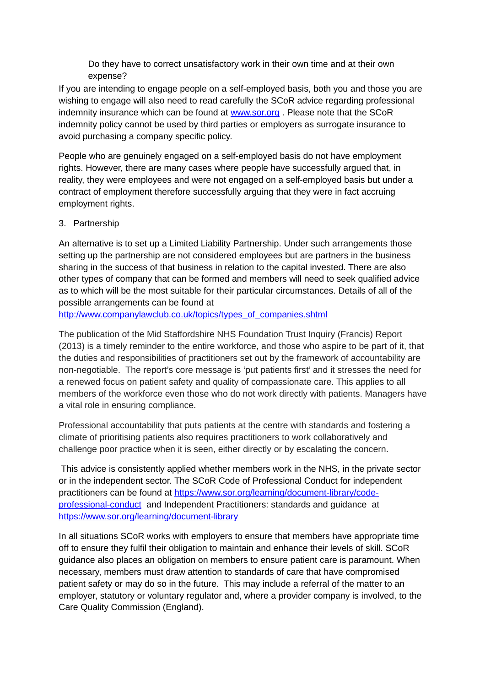Do they have to correct unsatisfactory work in their own time and at their own expense?

If you are intending to engage people on a self-employed basis, both you and those you are wishing to engage will also need to read carefully the SCoR advice regarding professional indemnity insurance which can be found at [www.sor.org](http://www.sor.org/) . Please note that the SCoR indemnity policy cannot be used by third parties or employers as surrogate insurance to avoid purchasing a company specific policy.

People who are genuinely engaged on a self-employed basis do not have employment rights. However, there are many cases where people have successfully argued that, in reality, they were employees and were not engaged on a self-employed basis but under a contract of employment therefore successfully arguing that they were in fact accruing employment rights.

### 3. Partnership

An alternative is to set up a Limited Liability Partnership. Under such arrangements those setting up the partnership are not considered employees but are partners in the business sharing in the success of that business in relation to the capital invested. There are also other types of company that can be formed and members will need to seek qualified advice as to which will be the most suitable for their particular circumstances. Details of all of the possible arrangements can be found at

http://www.companylawclub.co.uk/topics/types\_of\_companies.shtml

The publication of the Mid Staffordshire NHS Foundation Trust Inquiry (Francis) Report (2013) is a timely reminder to the entire workforce, and those who aspire to be part of it, that the duties and responsibilities of practitioners set out by the framework of accountability are non-negotiable. The report's core message is 'put patients first' and it stresses the need for a renewed focus on patient safety and quality of compassionate care. This applies to all members of the workforce even those who do not work directly with patients. Managers have a vital role in ensuring compliance.

Professional accountability that puts patients at the centre with standards and fostering a climate of prioritising patients also requires practitioners to work collaboratively and challenge poor practice when it is seen, either directly or by escalating the concern.

 This advice is consistently applied whether members work in the NHS, in the private sector or in the independent sector. The SCoR Code of Professional Conduct for independent practitioners can be found at [https://www.sor.org/learning/document-library/code](https://www.sor.org/learning/document-library/code-professional-conduct)[professional-conduct](https://www.sor.org/learning/document-library/code-professional-conduct) and Independent Practitioners: standards and guidance at <https://www.sor.org/learning/document-library>

In all situations SCoR works with employers to ensure that members have appropriate time off to ensure they fulfil their obligation to maintain and enhance their levels of skill. SCoR guidance also places an obligation on members to ensure patient care is paramount. When necessary, members must draw attention to standards of care that have compromised patient safety or may do so in the future. This may include a referral of the matter to an employer, statutory or voluntary regulator and, where a provider company is involved, to the Care Quality Commission (England).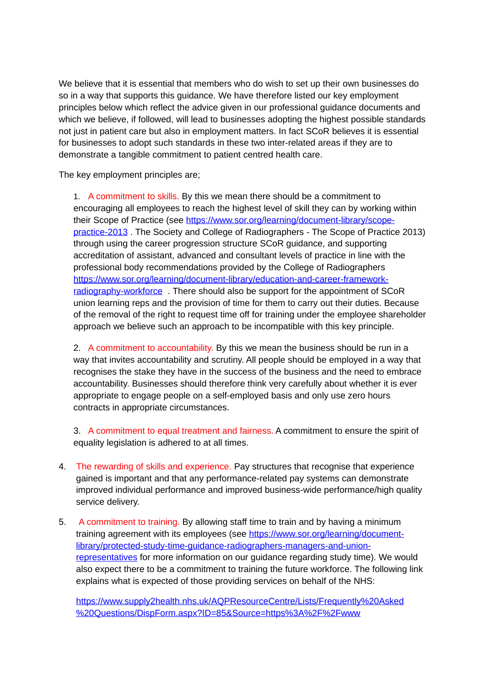We believe that it is essential that members who do wish to set up their own businesses do so in a way that supports this guidance. We have therefore listed our key employment principles below which reflect the advice given in our professional guidance documents and which we believe, if followed, will lead to businesses adopting the highest possible standards not just in patient care but also in employment matters. In fact SCoR believes it is essential for businesses to adopt such standards in these two inter-related areas if they are to demonstrate a tangible commitment to patient centred health care.

The key employment principles are;

1. A commitment to skills. By this we mean there should be a commitment to encouraging all employees to reach the highest level of skill they can by working within their Scope of Practice (see [https://www.sor.org/learning/document-library/scope](https://www.sor.org/learning/document-library/scope-practice-2013)[practice-2013](https://www.sor.org/learning/document-library/scope-practice-2013) . The Society and College of Radiographers - The Scope of Practice 2013) through using the career progression structure SCoR guidance, and supporting accreditation of assistant, advanced and consultant levels of practice in line with the professional body recommendations provided by the College of Radiographers [https://www.sor.org/learning/document-library/education-and-career-framework](https://www.sor.org/learning/document-library/education-and-career-framework-radiography-workforce)[radiography-workforce](https://www.sor.org/learning/document-library/education-and-career-framework-radiography-workforce) . There should also be support for the appointment of SCoR union learning reps and the provision of time for them to carry out their duties. Because of the removal of the right to request time off for training under the employee shareholder approach we believe such an approach to be incompatible with this key principle.

2. A commitment to accountability. By this we mean the business should be run in a way that invites accountability and scrutiny. All people should be employed in a way that recognises the stake they have in the success of the business and the need to embrace accountability. Businesses should therefore think very carefully about whether it is ever appropriate to engage people on a self-employed basis and only use zero hours contracts in appropriate circumstances.

3. A commitment to equal treatment and fairness. A commitment to ensure the spirit of equality legislation is adhered to at all times.

- 4. The rewarding of skills and experience. Pay structures that recognise that experience gained is important and that any performance-related pay systems can demonstrate improved individual performance and improved business-wide performance/high quality service delivery.
- 5. A commitment to training. By allowing staff time to train and by having a minimum training agreement with its employees (see [https://www.sor.org/learning/document](https://www.sor.org/learning/document-library/protected-study-time-guidance-radiographers-managers-and-union-representatives)[library/protected-study-time-guidance-radiographers-managers-and-union](https://www.sor.org/learning/document-library/protected-study-time-guidance-radiographers-managers-and-union-representatives)[representatives](https://www.sor.org/learning/document-library/protected-study-time-guidance-radiographers-managers-and-union-representatives) for more information on our guidance regarding study time). We would also expect there to be a commitment to training the future workforce. The following link explains what is expected of those providing services on behalf of the NHS:

[https://www.supply2health.nhs.uk/AQPResourceCentre/Lists/Frequently%20Asked](https://www.supply2health.nhs.uk/AQPResourceCentre/Lists/Frequently%20Asked%20Questions/DispForm.aspx?ID=85&Source=https%3A%2F%2Fwww.supply2health.nhs.uk%2FAQPResourceCentre%2FPages%2FProviderSupport.aspx) [%20Questions/DispForm.aspx?ID=85&Source=https%3A%2F%2Fwww](https://www.supply2health.nhs.uk/AQPResourceCentre/Lists/Frequently%20Asked%20Questions/DispForm.aspx?ID=85&Source=https%3A%2F%2Fwww.supply2health.nhs.uk%2FAQPResourceCentre%2FPages%2FProviderSupport.aspx)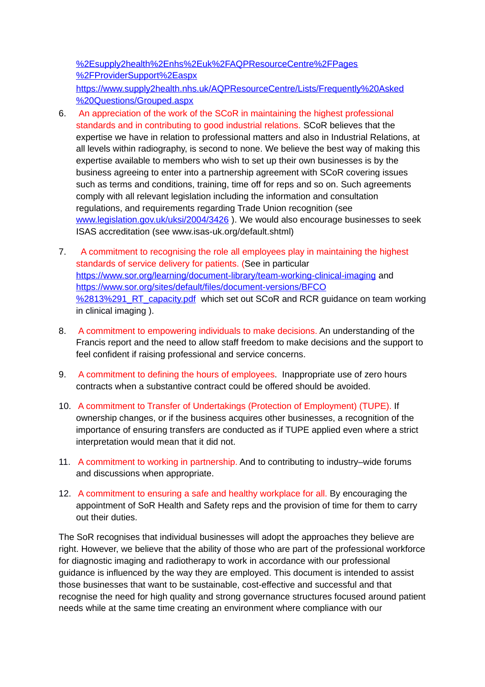[%2Esupply2health%2Enhs%2Euk%2FAQPResourceCentre%2FPages](https://www.supply2health.nhs.uk/AQPResourceCentre/Lists/Frequently%20Asked%20Questions/DispForm.aspx?ID=85&Source=https%3A%2F%2Fwww.supply2health.nhs.uk%2FAQPResourceCentre%2FPages%2FProviderSupport.aspx) [%2FProviderSupport%2Easpx](https://www.supply2health.nhs.uk/AQPResourceCentre/Lists/Frequently%20Asked%20Questions/DispForm.aspx?ID=85&Source=https%3A%2F%2Fwww.supply2health.nhs.uk%2FAQPResourceCentre%2FPages%2FProviderSupport.aspx)

[https://www.supply2health.nhs.uk/AQPResourceCentre/Lists/Frequently%20Asked](https://www.supply2health.nhs.uk/AQPResourceCentre/Lists/Frequently%20Asked%20Questions/Grouped.aspx) [%20Questions/Grouped.aspx](https://www.supply2health.nhs.uk/AQPResourceCentre/Lists/Frequently%20Asked%20Questions/Grouped.aspx) 

- 6. An appreciation of the work of the SCoR in maintaining the highest professional standards and in contributing to good industrial relations. SCoR believes that the expertise we have in relation to professional matters and also in Industrial Relations, at all levels within radiography, is second to none. We believe the best way of making this expertise available to members who wish to set up their own businesses is by the business agreeing to enter into a partnership agreement with SCoR covering issues such as terms and conditions, training, time off for reps and so on. Such agreements comply with all relevant legislation including the information and consultation regulations, and requirements regarding Trade Union recognition (see [www.legislation.gov.uk/uksi/2004/3426](http://www.legislation.gov.uk/uksi/2004/3426) ). We would also encourage businesses to seek ISAS accreditation (see www.isas-uk.org/default.shtml)
- 7. A commitment to recognising the role all employees play in maintaining the highest standards of service delivery for patients. (See in particular <https://www.sor.org/learning/document-library/team-working-clinical-imaging> and [https://www.sor.org/sites/default/files/document-versions/BFCO](https://www.sor.org/sites/default/files/document-versions/BFCO(13)1_RT_capacity.pdf) %2813%291\_RT\_capacity.pdf\_which set out SCoR and RCR guidance on team working in clinical imaging ).
- 8. A commitment to empowering individuals to make decisions. An understanding of the Francis report and the need to allow staff freedom to make decisions and the support to feel confident if raising professional and service concerns.
- 9. A commitment to defining the hours of employees. Inappropriate use of zero hours contracts when a substantive contract could be offered should be avoided.
- 10. A commitment to Transfer of Undertakings (Protection of Employment) (TUPE). If ownership changes, or if the business acquires other businesses, a recognition of the importance of ensuring transfers are conducted as if TUPE applied even where a strict interpretation would mean that it did not.
- 11. A commitment to working in partnership. And to contributing to industry–wide forums and discussions when appropriate.
- 12. A commitment to ensuring a safe and healthy workplace for all. By encouraging the appointment of SoR Health and Safety reps and the provision of time for them to carry out their duties.

The SoR recognises that individual businesses will adopt the approaches they believe are right. However, we believe that the ability of those who are part of the professional workforce for diagnostic imaging and radiotherapy to work in accordance with our professional guidance is influenced by the way they are employed. This document is intended to assist those businesses that want to be sustainable, cost-effective and successful and that recognise the need for high quality and strong governance structures focused around patient needs while at the same time creating an environment where compliance with our